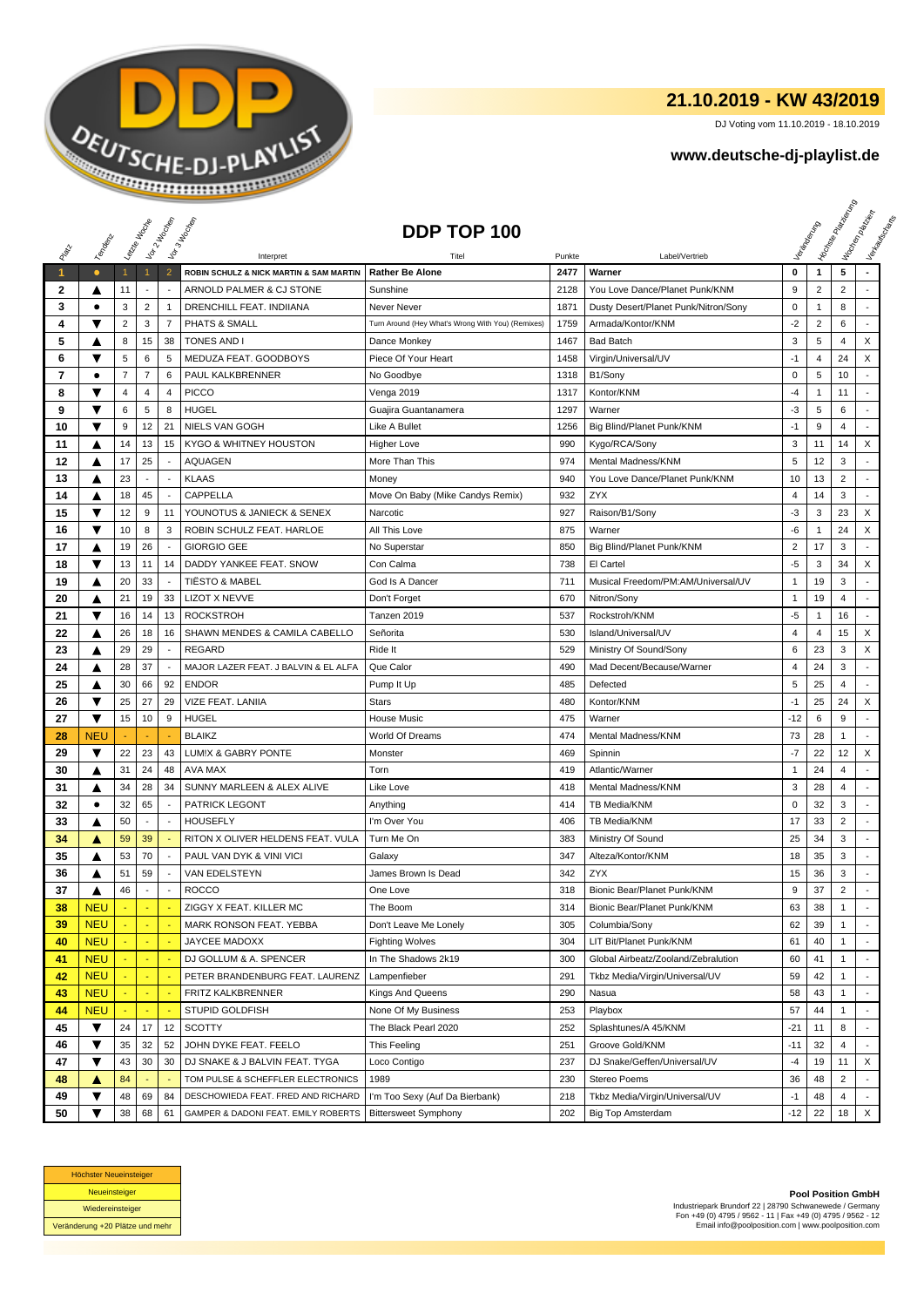

## **21.10.2019 - KW 43/2019**

DJ Voting vom 11.10.2019 - 18.10.2019

## **www.deutsche-dj-playlist.de**

|              |            | Laizie III cons |                          | Voir 2 Moone<br>Vor 3 Hd Copen |                                                      | DDP TOP 100                                       |                |                                      |                |                | <b>Licitorial Principal Assistance</b> | Workenberg<br>Verkouwerd arts |
|--------------|------------|-----------------|--------------------------|--------------------------------|------------------------------------------------------|---------------------------------------------------|----------------|--------------------------------------|----------------|----------------|----------------------------------------|-------------------------------|
|              | Temporal   |                 |                          |                                |                                                      |                                                   |                |                                      |                |                |                                        |                               |
| $\mathbf{1}$ | $\bullet$  | $\mathbf{1}$    | $\mathbf{1}$             | $\overline{2}$                 | Interpret<br>ROBIN SCHULZ & NICK MARTIN & SAM MARTIN | Titel<br><b>Rather Be Alone</b>                   | Punkte<br>2477 | Label/Vertrieb<br>Warner             | 0              | $\mathbf{1}$   | 5                                      |                               |
| $\mathbf{2}$ | ▲          | 11              | $\overline{\phantom{a}}$ | $\overline{\phantom{a}}$       | ARNOLD PALMER & CJ STONE                             | Sunshine                                          | 2128           | You Love Dance/Planet Punk/KNM       | 9              | $\overline{2}$ | $\overline{2}$                         |                               |
| 3            | ٠          | 3               | $\overline{2}$           | $\mathbf{1}$                   | DRENCHILL FEAT. INDIIANA                             | Never Never                                       | 1871           | Dusty Desert/Planet Punk/Nitron/Sony | 0              | $\mathbf{1}$   | 8                                      |                               |
| 4            | ▼          | $\sqrt{2}$      | 3                        | $\overline{7}$                 | PHATS & SMALL                                        | Turn Around (Hey What's Wrong With You) (Remixes) | 1759           | Armada/Kontor/KNM                    | $-2$           | $\overline{c}$ | 6                                      |                               |
| 5            | ▲          | 8               | 15                       | 38                             | <b>TONES AND I</b>                                   | Dance Monkey                                      | 1467           | <b>Bad Batch</b>                     | 3              | 5              | 4                                      | X                             |
| 6            | ▼          | 5               | 6                        | 5                              | MEDUZA FEAT. GOODBOYS                                | Piece Of Your Heart                               | 1458           | Virgin/Universal/UV                  | $-1$           | 4              | 24                                     | X                             |
| 7            | $\bullet$  | $\overline{7}$  | $\overline{7}$           | 6                              | PAUL KALKBRENNER                                     | No Goodbye                                        | 1318           | B1/Sony                              | 0              | 5              | 10                                     |                               |
| 8            | ▼          | 4               | 4                        | 4                              | <b>PICCO</b>                                         | Venga 2019                                        | 1317           | Kontor/KNM                           | -4             | $\mathbf{1}$   | 11                                     | $\overline{\phantom{a}}$      |
| 9            | ▼          | 6               | 5                        | 8                              | HUGEL                                                | Guajira Guantanamera                              | 1297           | Warner                               | -3             | 5              | 6                                      |                               |
| 10           | ▼          | 9               | 12                       | 21                             | <b>NIELS VAN GOGH</b>                                | Like A Bullet                                     | 1256           | Big Blind/Planet Punk/KNM            | $-1$           | 9              | $\overline{4}$                         |                               |
| 11           | ▲          | 14              | 13                       | 15                             | <b>KYGO &amp; WHITNEY HOUSTON</b>                    | <b>Higher Love</b>                                | 990            | Kygo/RCA/Sony                        | 3              | 11             | 14                                     | X                             |
| 12           | ▲          | 17              | 25                       | $\sim$                         | <b>AQUAGEN</b>                                       | More Than This                                    | 974            | Mental Madness/KNM                   | 5              | 12             | 3                                      |                               |
| 13           | ▲          | 23              | $\overline{\phantom{a}}$ | $\overline{\phantom{a}}$       | <b>KLAAS</b>                                         | Money                                             | 940            | You Love Dance/Planet Punk/KNM       | 10             | 13             | $\overline{2}$                         |                               |
|              |            |                 |                          |                                |                                                      |                                                   |                |                                      |                |                |                                        |                               |
| 14           | ▲          | 18              | 45                       |                                | CAPPELLA                                             | Move On Baby (Mike Candys Remix)                  | 932            | <b>ZYX</b>                           | $\overline{4}$ | 14             | 3                                      |                               |
| 15           | ▼          | 12              | 9                        | 11                             | YOUNOTUS & JANIECK & SENEX                           | Narcotic                                          | 927            | Raison/B1/Sony                       | -3             | 3              | 23                                     | X                             |
| 16           | ▼          | 10              | 8                        | 3                              | ROBIN SCHULZ FEAT. HARLOE                            | All This Love                                     | 875            | Warner                               | -6             | 1              | 24                                     | X                             |
| 17           | ▲          | 19              | 26                       |                                | <b>GIORGIO GEE</b>                                   | No Superstar                                      | 850            | Big Blind/Planet Punk/KNM            | $\overline{2}$ | 17             | 3                                      |                               |
| 18           | ▼          | 13              | 11                       | 14                             | DADDY YANKEE FEAT. SNOW                              | Con Calma                                         | 738            | El Cartel                            | $-5$           | 3              | 34                                     | X                             |
| 19           | ▲          | 20              | 33                       | $\overline{\phantom{a}}$       | <b>TIËSTO &amp; MABEL</b>                            | God Is A Dancer                                   | 711            | Musical Freedom/PM:AM/Universal/UV   | 1              | 19             | 3                                      |                               |
| 20           | ▲          | 21              | 19                       | 33                             | <b>LIZOT X NEVVE</b>                                 | Don't Forget                                      | 670            | Nitron/Sony                          | $\mathbf{1}$   | 19             | $\overline{4}$                         |                               |
| 21           | ▼          | 16              | 14                       | 13                             | <b>ROCKSTROH</b>                                     | Tanzen 2019                                       | 537            | Rockstroh/KNM                        | $-5$           | $\mathbf{1}$   | 16                                     | $\overline{a}$                |
| 22           | ▲          | 26              | 18                       | 16                             | SHAWN MENDES & CAMILA CABELLO                        | Señorita                                          | 530            | Island/Universal/UV                  | 4              | 4              | 15                                     | X                             |
| 23           | ▲          | 29              | 29                       | $\overline{\phantom{a}}$       | <b>REGARD</b>                                        | Ride It                                           | 529            | Ministry Of Sound/Sony               | 6              | 23             | 3                                      | X                             |
| 24           | ▲          | 28              | 37                       | $\sim$                         | MAJOR LAZER FEAT. J BALVIN & EL ALFA                 | Que Calor                                         | 490            | Mad Decent/Because/Warner            | 4              | 24             | 3                                      | $\sim$                        |
| 25           | ▲          | 30              | 66                       | 92                             | <b>ENDOR</b>                                         | Pump It Up                                        | 485            | Defected                             | 5              | 25             | 4                                      |                               |
| 26           | ▼          | 25              | 27                       | 29                             | VIZE FEAT. LANIIA                                    | <b>Stars</b>                                      | 480            | Kontor/KNM                           | $-1$           | 25             | 24                                     | X                             |
| 27           | ▼          | 15              | 10                       | 9                              | <b>HUGEL</b>                                         | <b>House Music</b>                                | 475            | Warner                               | -12            | 6              | 9                                      | $\overline{\phantom{a}}$      |
| 28           | <b>NEU</b> |                 |                          |                                | <b>BLAIKZ</b>                                        | World Of Dreams                                   | 474            | Mental Madness/KNM                   | 73             | 28             | $\mathbf{1}$                           | $\blacksquare$                |
| 29           | ▼          | 22              | 23                       | 43                             | LUM!X & GABRY PONTE                                  | Monster                                           | 469            | Spinnin                              | $-7$           | 22             | 12                                     | X                             |
| 30           | ▲          | 31              | 24                       | 48                             | AVA MAX                                              | Torn                                              | 419            | Atlantic/Warner                      | 1              | 24             | 4                                      | $\overline{a}$                |
| 31           | ▲          | 34              | 28                       | 34                             | SUNNY MARLEEN & ALEX ALIVE                           | Like Love                                         | 418            | Mental Madness/KNM                   | 3              | 28             | 4                                      | $\overline{a}$                |
| 32           | ٠          | 32              | 65                       |                                | <b>PATRICK LEGONT</b>                                | Anything                                          | 414            | TB Media/KNM                         | 0              | 32             | 3                                      | $\overline{\phantom{a}}$      |
| 33           | ▲          | 50              | $\sim$                   |                                | <b>HOUSEFLY</b>                                      | I'm Over You                                      | 406            | TB Media/KNM                         | 17             | 33             | $\overline{2}$                         | $\overline{\phantom{a}}$      |
| 34           | A          | 59              | 39                       |                                | RITON X OLIVER HELDENS FEAT. VULA                    | Turn Me On                                        | 383            | Ministry Of Sound                    | 25             | 34             | 3                                      | $\overline{a}$                |
| 35           | ▲          | 53              | 70                       | $\overline{\phantom{a}}$       | PAUL VAN DYK & VINI VICI                             | Galaxy                                            | 347            | Alteza/Kontor/KNM                    | 18             | 35             | 3                                      |                               |
| 36           | A          | 51              | 59                       | $\overline{\phantom{a}}$       | VAN EDELSTEYN                                        | James Brown Is Dead                               | 342            | <b>ZYX</b>                           | 15             | 36             | 3                                      |                               |
| 37           | ▲          | 46              | $\sim$                   | $\blacksquare$                 | <b>ROCCO</b>                                         | One Love                                          | 318            | Bionic Bear/Planet Punk/KNM          | 9              | 37             | $\overline{2}$                         | ÷                             |
| 38           | <b>NEU</b> |                 |                          |                                | ZIGGY X FEAT. KILLER MC                              | The Boom                                          | 314            | Bionic Bear/Planet Punk/KNM          | 63             | 38             | 1                                      |                               |
| 39           | <b>NEU</b> |                 | ÷.                       | ÷.                             | MARK RONSON FEAT. YEBBA                              | Don't Leave Me Lonely                             | 305            | Columbia/Sony                        | 62             | 39             | $\mathbf{1}$                           |                               |
| 40           | <b>NEU</b> |                 | ÷.                       | $\sim$                         | JAYCEE MADOXX                                        | <b>Fighting Wolves</b>                            | 304            | LIT Bit/Planet Punk/KNM              | 61             | 40             | $\mathbf{1}$                           | ÷.                            |
| 41           | <b>NEU</b> |                 | $\blacksquare$           |                                | DJ GOLLUM & A. SPENCER                               | In The Shadows 2k19                               | 300            | Global Airbeatz/Zooland/Zebralution  | 60             | 41             | $\mathbf{1}$                           |                               |
| 42           | <b>NEU</b> |                 | $\blacksquare$           |                                | PETER BRANDENBURG FEAT. LAURENZ                      | Lampenfieber                                      | 291            | Tkbz Media/Virgin/Universal/UV       | 59             | 42             | $\mathbf{1}$                           |                               |
| 43           | <b>NEU</b> |                 |                          |                                | FRITZ KALKBRENNER                                    | Kings And Queens                                  | 290            | Nasua                                | 58             | 43             | 1                                      |                               |
| 44           | <b>NEU</b> |                 |                          | $\blacksquare$                 | <b>STUPID GOLDFISH</b>                               | None Of My Business                               | 253            | Playbox                              | 57             | 44             | 1                                      |                               |
| 45           | ▼          | 24              | 17                       | 12                             | <b>SCOTTY</b>                                        | The Black Pearl 2020                              | 252            | Splashtunes/A 45/KNM                 | $-21$          | 11             | 8                                      |                               |
| 46           | ▼          | 35              | 32                       | 52                             | JOHN DYKE FEAT. FEELO                                | This Feeling                                      | 251            | Groove Gold/KNM                      | $-11$          | 32             | 4                                      | $\blacksquare$                |
| 47           | ▼          | 43              | 30                       | 30                             | DJ SNAKE & J BALVIN FEAT. TYGA                       | Loco Contigo                                      | 237            | DJ Snake/Geffen/Universal/UV         | $-4$           | 19             | 11                                     | X                             |
| 48           | ▲          | 84              |                          |                                | TOM PULSE & SCHEFFLER ELECTRONICS                    | 1989                                              | 230            | Stereo Poems                         | 36             | 48             | 2                                      |                               |
| 49           | ▼          | 48              | 69                       | 84                             | DESCHOWIEDA FEAT. FRED AND RICHARD                   | I'm Too Sexy (Auf Da Bierbank)                    | 218            | Tkbz Media/Virgin/Universal/UV       | $-1$           | 48             | 4                                      |                               |
| 50           | ▼          | 38              | 68 61                    |                                | GAMPER & DADONI FEAT. EMILY ROBERTS                  | <b>Bittersweet Symphony</b>                       | 202            | <b>Big Top Amsterdam</b>             | -12            | 22             | 18                                     | X                             |



**Pool Position GmbH** Industriepark Brundorf 22 | 28790 Schwanewede / Germany Fon +49 (0) 4795 / 9562 - 11 | Fax +49 (0) 4795 / 9562 - 12 Email info@poolposition.com | www.poolposition.com